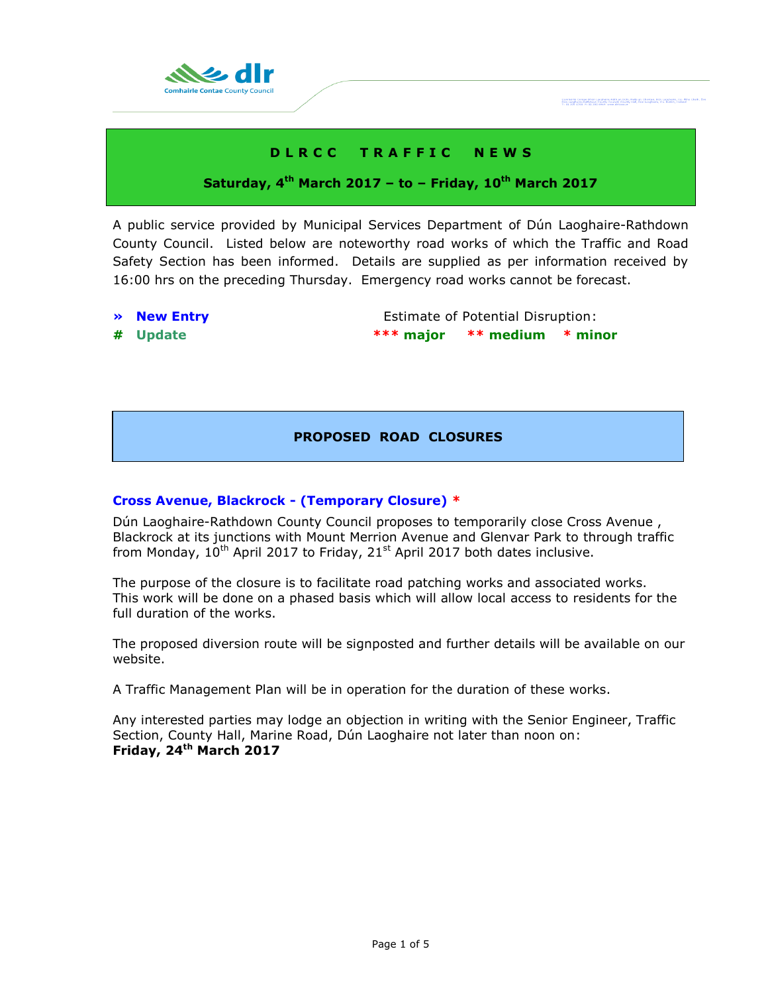

# **D L R C C T R A F F I C N E W S**

## **Saturday, 4 th March 2017 – to – Friday, 10th March 2017**

A public service provided by Municipal Services Department of Dún Laoghaire-Rathdown County Council. Listed below are noteworthy road works of which the Traffic and Road Safety Section has been informed. Details are supplied as per information received by 16:00 hrs on the preceding Thursday. Emergency road works cannot be forecast.

- 
- 

**• New Entry Extimate of Potential Disruption: # Update \*\*\* major \*\* medium \* minor**

Cemheirle Cornee Dhús Leaghaire-Ráth<br>Dún Laoghaire-Rathfown County Council

## **PROPOSED ROAD CLOSURES**

## **Cross Avenue, Blackrock - (Temporary Closure) \***

Dún Laoghaire-Rathdown County Council proposes to temporarily close Cross Avenue , Blackrock at its junctions with Mount Merrion Avenue and Glenvar Park to through traffic from Monday,  $10^{th}$  April 2017 to Friday, 21<sup>st</sup> April 2017 both dates inclusive.

The purpose of the closure is to facilitate road patching works and associated works. This work will be done on a phased basis which will allow local access to residents for the full duration of the works.

The proposed diversion route will be signposted and further details will be available on our website.

A Traffic Management Plan will be in operation for the duration of these works.

Any interested parties may lodge an objection in writing with the Senior Engineer, Traffic Section, County Hall, Marine Road, Dún Laoghaire not later than noon on: **Friday, 24th March 2017**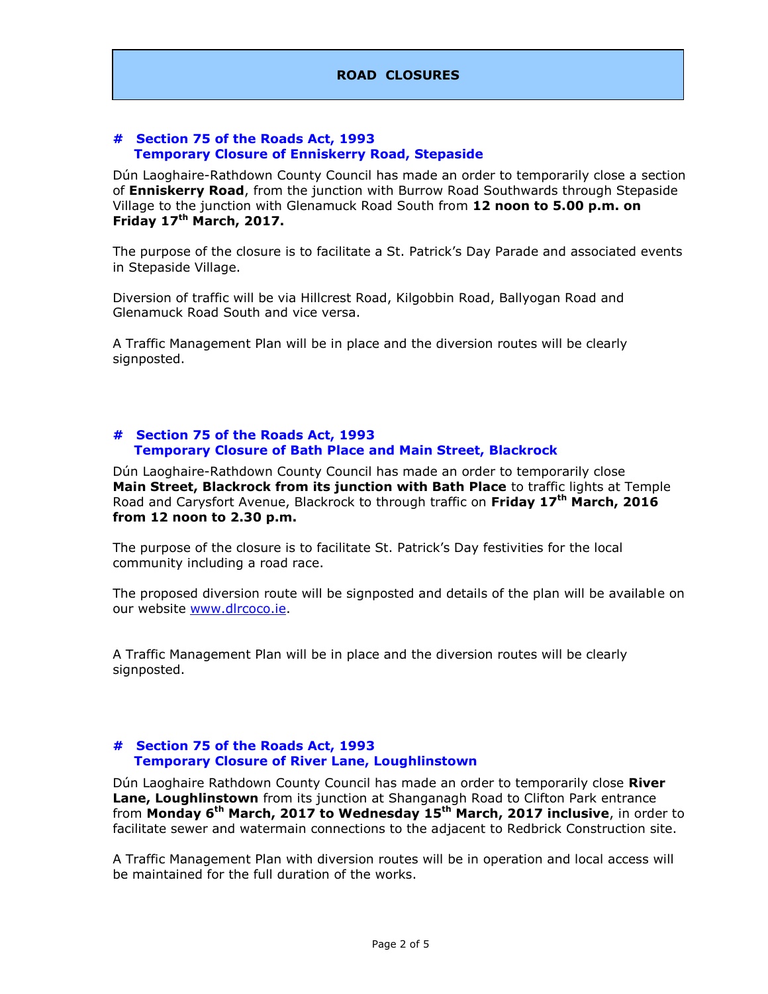### **# Section 75 of the Roads Act, 1993 Temporary Closure of Enniskerry Road, Stepaside**

Dún Laoghaire-Rathdown County Council has made an order to temporarily close a section of **Enniskerry Road**, from the junction with Burrow Road Southwards through Stepaside Village to the junction with Glenamuck Road South from **12 noon to 5.00 p.m. on Friday 17th March, 2017.**

The purpose of the closure is to facilitate a St. Patrick's Day Parade and associated events in Stepaside Village.

Diversion of traffic will be via Hillcrest Road, Kilgobbin Road, Ballyogan Road and Glenamuck Road South and vice versa.

A Traffic Management Plan will be in place and the diversion routes will be clearly signposted.

### **# Section 75 of the Roads Act, 1993 Temporary Closure of Bath Place and Main Street, Blackrock**

Dún Laoghaire-Rathdown County Council has made an order to temporarily close **Main Street, Blackrock from its junction with Bath Place** to traffic lights at Temple Road and Carysfort Avenue, Blackrock to through traffic on **Friday 17th March, 2016 from 12 noon to 2.30 p.m.**

The purpose of the closure is to facilitate St. Patrick's Day festivities for the local community including a road race.

The proposed diversion route will be signposted and details of the plan will be available on our website [www.dlrcoco.ie.](http://www.dlrcoco.ie/)

A Traffic Management Plan will be in place and the diversion routes will be clearly signposted.

### **# Section 75 of the Roads Act, 1993 Temporary Closure of River Lane, Loughlinstown**

Dún Laoghaire Rathdown County Council has made an order to temporarily close **River Lane, Loughlinstown** from its junction at Shanganagh Road to Clifton Park entrance from **Monday 6th March, 2017 to Wednesday 15th March, 2017 inclusive**, in order to facilitate sewer and watermain connections to the adjacent to Redbrick Construction site.

A Traffic Management Plan with diversion routes will be in operation and local access will be maintained for the full duration of the works.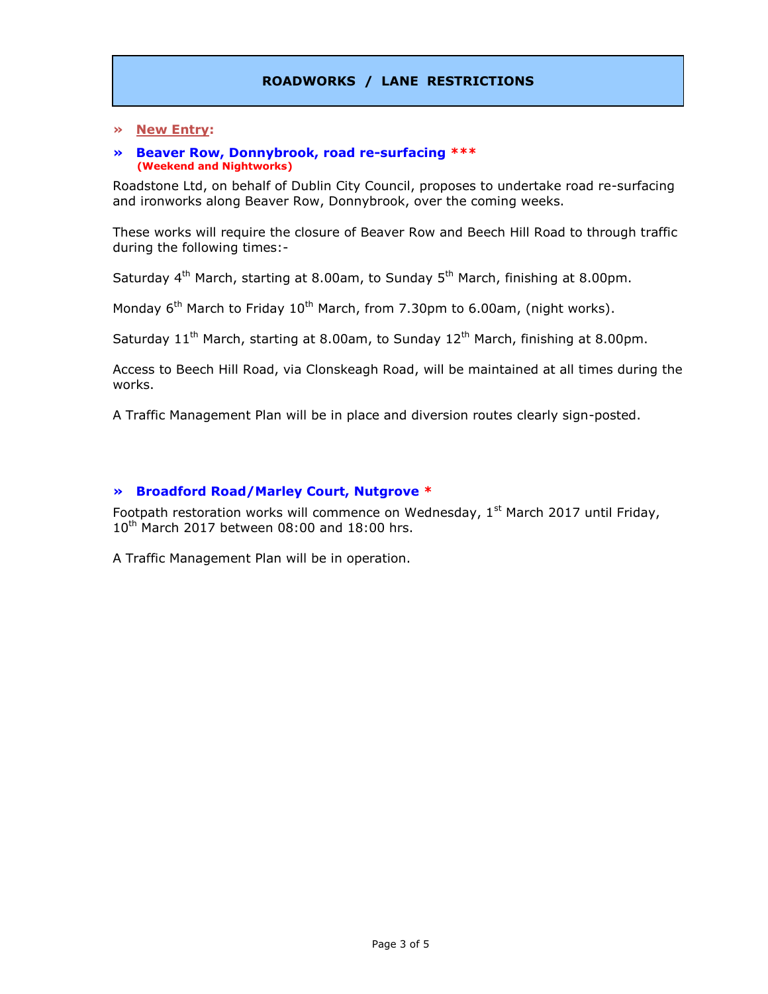### **» New Entry:**

### **» Beaver Row, Donnybrook, road re-surfacing \*\*\* (Weekend and Nightworks)**

Roadstone Ltd, on behalf of Dublin City Council, proposes to undertake road re-surfacing and ironworks along Beaver Row, Donnybrook, over the coming weeks.

These works will require the closure of Beaver Row and Beech Hill Road to through traffic during the following times:-

Saturday  $4<sup>th</sup>$  March, starting at 8.00am, to Sunday  $5<sup>th</sup>$  March, finishing at 8.00pm.

Monday  $6<sup>th</sup>$  March to Friday 10<sup>th</sup> March, from 7.30pm to 6.00am, (night works).

Saturday  $11<sup>th</sup>$  March, starting at 8.00am, to Sunday  $12<sup>th</sup>$  March, finishing at 8.00pm.

Access to Beech Hill Road, via Clonskeagh Road, will be maintained at all times during the works.

A Traffic Management Plan will be in place and diversion routes clearly sign-posted.

### **» Broadford Road/Marley Court, Nutgrove \***

Footpath restoration works will commence on Wednesday,  $1<sup>st</sup>$  March 2017 until Friday,  $10^{th}$  March 2017 between 08:00 and 18:00 hrs.

A Traffic Management Plan will be in operation.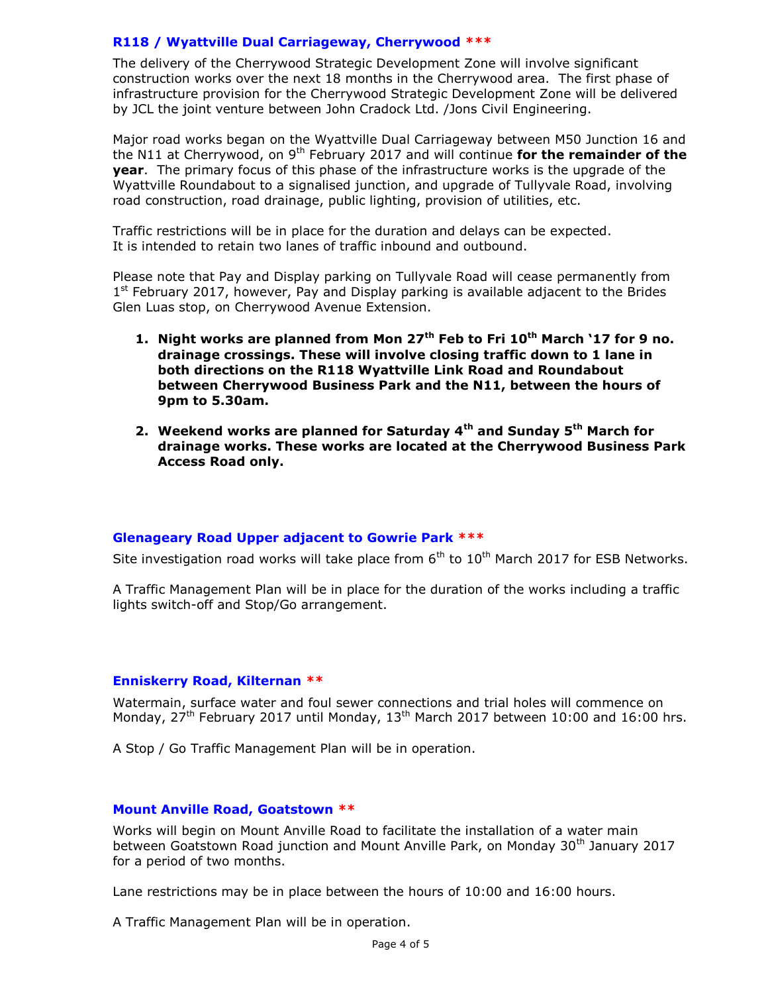## **R118 / Wyattville Dual Carriageway, Cherrywood \*\*\***

The delivery of the Cherrywood Strategic Development Zone will involve significant construction works over the next 18 months in the Cherrywood area. The first phase of infrastructure provision for the Cherrywood Strategic Development Zone will be delivered by JCL the joint venture between John Cradock Ltd. /Jons Civil Engineering.

Major road works began on the Wyattville Dual Carriageway between M50 Junction 16 and the N11 at Cherrywood, on 9<sup>th</sup> February 2017 and will continue **for the remainder of the year**. The primary focus of this phase of the infrastructure works is the upgrade of the Wyattville Roundabout to a signalised junction, and upgrade of Tullyvale Road, involving road construction, road drainage, public lighting, provision of utilities, etc.

Traffic restrictions will be in place for the duration and delays can be expected. It is intended to retain two lanes of traffic inbound and outbound.

Please note that Pay and Display parking on Tullyvale Road will cease permanently from 1<sup>st</sup> February 2017, however, Pay and Display parking is available adjacent to the Brides Glen Luas stop, on Cherrywood Avenue Extension.

- **1. Night works are planned from Mon 27th Feb to Fri 10th March '17 for 9 no. drainage crossings. These will involve closing traffic down to 1 lane in both directions on the R118 Wyattville Link Road and Roundabout between Cherrywood Business Park and the N11, between the hours of 9pm to 5.30am.**
- **2. Weekend works are planned for Saturday 4th and Sunday 5th March for drainage works. These works are located at the Cherrywood Business Park Access Road only.**

## **Glenageary Road Upper adjacent to Gowrie Park \*\*\***

Site investigation road works will take place from  $6<sup>th</sup>$  to  $10<sup>th</sup>$  March 2017 for ESB Networks.

A Traffic Management Plan will be in place for the duration of the works including a traffic lights switch-off and Stop/Go arrangement.

## **Enniskerry Road, Kilternan \*\***

Watermain, surface water and foul sewer connections and trial holes will commence on Monday, 27<sup>th</sup> February 2017 until Monday, 13<sup>th</sup> March 2017 between 10:00 and 16:00 hrs.

A Stop / Go Traffic Management Plan will be in operation.

## **Mount Anville Road, Goatstown \*\***

Works will begin on Mount Anville Road to facilitate the installation of a water main between Goatstown Road junction and Mount Anville Park, on Monday 30<sup>th</sup> January 2017 for a period of two months.

Lane restrictions may be in place between the hours of 10:00 and 16:00 hours.

A Traffic Management Plan will be in operation.